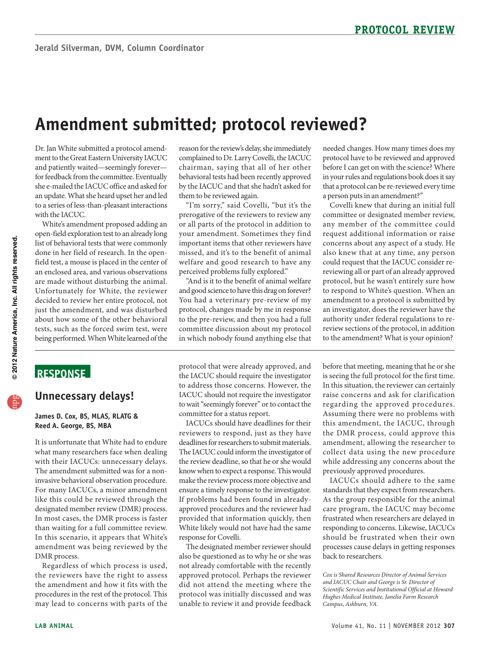# **Amendment submitted; protocol reviewed?**

Dr. Jan White submitted a protocol amendment to the Great Eastern University IACUC and patiently waited—seemingly forever for feedback from the committee. Eventually she e-mailed the IACUC office and asked for an update. What she heard upset her and led to a series of less-than-pleasant interactions with the IACUC.

 White's amendment proposed adding an list of behavioral tests that were commonly are made without disturbing the animal. open-field exploration test to an already long done in her field of research. In the openfield test, a mouse is placed in the center of an enclosed area, and various observations Unfortunately for White, the reviewer decided to review her entire protocol, not just the amendment, and was disturbed about how some of the other behavioral tests, such as the forced swim test, were being performed. When White learned of the

#### reason for the review's delay, she immediately complained to Dr. Larry Covelli, the IACUC chairman, saying that all of her other behavioral tests had been recently approved by the IACUC and that she hadn't asked for them to be reviewed again.

"I'm sorry," said Covelli, "but it's the prerogative of the reviewers to review any or all parts of the protocol in addition to your amendment. Sometimes they find important items that other reviewers have missed, and it's to the benefit of animal welfare and good research to have any perceived problems fully explored."

 "And is it to the benefit of animal welfare and good science to have this drag on forever? committee discussion about my protocol You had a veterinary pre-review of my protocol, changes made by me in response to the pre-review, and then you had a full in which nobody found anything else that

 before I can get on with the science? Where needed changes. How many times does my protocol have to be reviewed and approved in your rules and regulations book does it say that a protocol can be re-reviewed every time a person puts in an amendment?"

Covelli knew that during an initial full committee or designated member review, any member of the committee could request additional information or raise concerns about any aspect of a study. He also knew that at any time, any person could request that the IACUC consider rereviewing all or part of an already approved protocol, but he wasn't entirely sure how to respond to White's question. When an amendment to a protocol is submitted by an investigator, does the reviewer have the authority under federal regulations to rereview sections of the protocol, in addition to the amendment? What is your opinion?

## **ReSponSe**

#### **Unnecessary delays!**

#### **James D. Cox, BS, MLAS, RLATG & Reed A. George, BS, MBA**

 invasive behavioral observation procedure. It is unfortunate that White had to endure what many researchers face when dealing with their IACUCs: unnecessary delays. The amendment submitted was for a non-For many IACUCs, a minor amendment like this could be reviewed through the designated member review (DMR) process. In most cases, the DMR process is faster than waiting for a full committee review. In this scenario, it appears that White's amendment was being reviewed by the DMR process.

Regardless of which process is used, the reviewers have the right to assess the amendment and how it fits with the procedures in the rest of the protocol. This may lead to concerns with parts of the

protocol that were already approved, and the IACUC should require the investigator to address those concerns. However, the IACUC should not require the investigator to wait "seemingly forever" or to contact the committee for a status report.

 deadlines for researchers to submit materials. ensure a timely response to the investigator. IACUCs should have deadlines for their reviewers to respond, just as they have The IACUC could inform the investigator of the review deadline, so that he or she would know when to expect a response. This would make the review process more objective and If problems had been found in alreadyapproved procedures and the reviewer had provided that information quickly, then White likely would not have had the same response for Covelli.

The designated member reviewer should also be questioned as to why he or she was not already comfortable with the recently approved protocol. Perhaps the reviewer did not attend the meeting where the protocol was initially discussed and was unable to review it and provide feedback

 raise concerns and ask for clarification collect data using the new procedure before that meeting, meaning that he or she is seeing the full protocol for the first time. In this situation, the reviewer can certainly regarding the approved procedures. Assuming there were no problems with this amendment, the IACUC, through the DMR process, could approve this amendment, allowing the researcher to while addressing any concerns about the previously approved procedures.

 standards that they expect from researchers. IACUCs should adhere to the same As the group responsible for the animal care program, the IACUC may become frustrated when researchers are delayed in responding to concerns. Likewise, IACUCs should be frustrated when their own processes cause delays in getting responses back to researchers.

*Cox is Shared Resources Director of Animal Services and IACUC Chair and George is Sr. Director of Scientific Services and Institutional Official at Howard Hughes Medical Institute, Janelia Farm Research Campus, Ashburn, VA.*